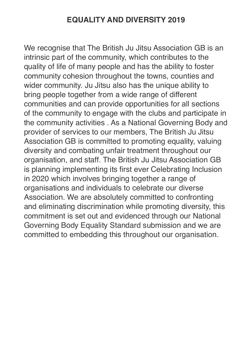### **EQUALITY AND DIVERSITY 2019**

We recognise that The British Ju Jitsu Association GB is an intrinsic part of the community, which contributes to the quality of life of many people and has the ability to foster community cohesion throughout the towns, counties and wider community. Ju Jitsu also has the unique ability to bring people together from a wide range of different communities and can provide opportunities for all sections of the community to engage with the clubs and participate in the community activities . As a National Governing Body and provider of services to our members, The British Ju Jitsu Association GB is committed to promoting equality, valuing diversity and combating unfair treatment throughout our organisation, and staff. The British Ju Jitsu Association GB is planning implementing its first ever Celebrating Inclusion in 2020 which involves bringing together a range of organisations and individuals to celebrate our diverse Association. We are absolutely committed to confronting and eliminating discrimination while promoting diversity, this commitment is set out and evidenced through our National Governing Body Equality Standard submission and we are committed to embedding this throughout our organisation.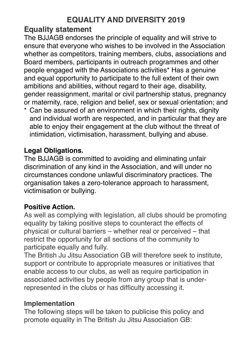### **Equality statement**

The BJJAGB endorses the principle of equality and will strive to ensure that everyone who wishes to be involved in the Association whether as competitors, training members, clubs, associations and Board members, participants in outreach programmes and other people engaged with the Associations activities\* Has a genuine and equal opportunity to participate to the full extent of their own ambitions and abilities, without regard to their age, disability, gender reassignment, marital or civil partnership status, pregnancy or maternity, race, religion and belief, sex or sexual orientation; and

\* Can be assured of an environment in which their rights, dignity and individual worth are respected, and in particular that they are able to enjoy their engagement at the club without the threat of intimidation, victimisation, harassment, bullying and abuse.

#### **Legal Obligations.**

The BJJAGB is committed to avoiding and eliminating unfair discrimination of any kind in the Association, and will under no circumstances condone unlawful discriminatory practices. The organisation takes a zero-tolerance approach to harassment, victimisation or bullying.

#### **Positive Action.**

As well as complying with legislation, all clubs should be promoting equality by taking positive steps to counteract the effects of physical or cultural barriers – whether real or perceived – that restrict the opportunity for all sections of the community to participate equally and fully.

The British Ju Jitsu Association GB will therefore seek to institute, support or contribute to appropriate measures or initiatives that enable access to our clubs, as well as require participation in associated activities by people from any group that is underrepresented in the clubs or has difficulty accessing it.

#### **Implementation**

The following steps will be taken to publicise this policy and promote equality in The British Ju Jitsu Association GB: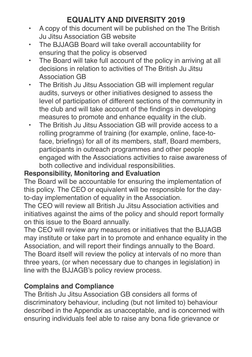# **EQUALITY AND DIVERSITY 2019**

- A copy of this document will be published on the The British Ju Jitsu Association GB website
- The BJJAGB Board will take overall accountability for ensuring that the policy is observed
- The Board will take full account of the policy in arriving at all decisions in relation to activities of The British Ju Jitsu Association GB
- The British Ju Jitsu Association GB will implement regular audits, surveys or other initiatives designed to assess the level of participation of different sections of the community in the club and will take account of the findings in developing measures to promote and enhance equality in the club.
- The British Ju Jitsu Association GB will provide access to a rolling programme of training (for example, online, face-toface, briefings) for all of its members, staff, Board members, participants in outreach programmes and other people engaged with the Associations activities to raise awareness of both collective and individual responsibilities.

#### **Responsibility, Monitoring and Evaluation**

The Board will be accountable for ensuring the implementation of this policy. The CEO or equivalent will be responsible for the dayto-day implementation of equality in the Association.

The CEO will review all British Ju Jitsu Association activities and initiatives against the aims of the policy and should report formally on this issue to the Board annually.

The CEO will review any measures or initiatives that the BJJAGB may institute or take part in to promote and enhance equality in the Association, and will report their findings annually to the Board. The Board itself will review the policy at intervals of no more than three years, (or when necessary due to changes in legislation) in line with the BJJAGB's policy review process.

#### **Complains and Compliance**

The British Ju Jitsu Association GB considers all forms of discriminatory behaviour, including (but not limited to) behaviour described in the Appendix as unacceptable, and is concerned with ensuring individuals feel able to raise any bona fide grievance or